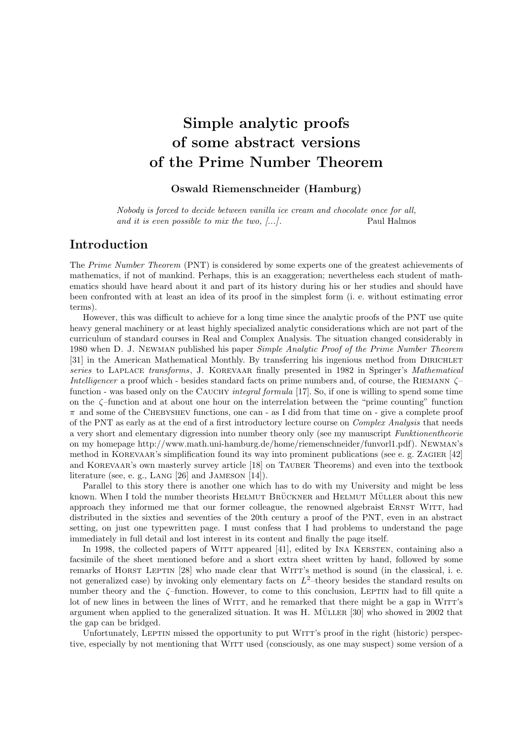# Simple analytic proofs of some abstract versions of the Prime Number Theorem

### Oswald Riemenschneider (Hamburg)

Nobody is forced to decide between vanilla ice cream and chocolate once for all, and it is even possible to mix the two, [...]. Paul Halmos

### Introduction

The Prime Number Theorem (PNT) is considered by some experts one of the greatest achievements of mathematics, if not of mankind. Perhaps, this is an exaggeration; nevertheless each student of mathematics should have heard about it and part of its history during his or her studies and should have been confronted with at least an idea of its proof in the simplest form (i. e. without estimating error terms).

However, this was difficult to achieve for a long time since the analytic proofs of the PNT use quite heavy general machinery or at least highly specialized analytic considerations which are not part of the curriculum of standard courses in Real and Complex Analysis. The situation changed considerably in 1980 when D. J. NEWMAN published his paper *Simple Analytic Proof of the Prime Number Theorem* [31] in the American Mathematical Monthly. By transferring his ingenious method from DIRICHLET series to LAPLACE transforms, J. KOREVAAR finally presented in 1982 in Springer's Mathematical Intelligencer a proof which - besides standard facts on prime numbers and, of course, the RIEMANN  $\zeta$ function - was based only on the CAUCHY integral formula [17]. So, if one is willing to spend some time on the ζ–function and at about one hour on the interrelation between the "prime counting" function  $\pi$  and some of the CHEBYSHEV functions, one can - as I did from that time on - give a complete proof of the PNT as early as at the end of a first introductory lecture course on *Complex Analysis* that needs a very short and elementary digression into number theory only (see my manuscript Funktionentheorie on my homepage http://www.math.uni-hamburg.de/home/riemenschneider/funvorl1.pdf). Newman's method in Korevaar's simplification found its way into prominent publications (see e. g. Zagier [42] and KOREVAAR's own masterly survey article [18] on TAUBER Theorems) and even into the textbook literature (see, e. g., Lang [26] and Jameson [14]).

Parallel to this story there is another one which has to do with my University and might be less known. When I told the number theorists HELMUT BRÜCKNER and HELMUT MÜLLER about this new approach they informed me that our former colleague, the renowned algebraist ERNST WITT, had distributed in the sixties and seventies of the 20th century a proof of the PNT, even in an abstract setting, on just one typewritten page. I must confess that I had problems to understand the page immediately in full detail and lost interest in its content and finally the page itself.

In 1998, the collected papers of WITT appeared [41], edited by INA KERSTEN, containing also a facsimile of the sheet mentioned before and a short extra sheet written by hand, followed by some remarks of HORST LEPTIN [28] who made clear that WITT's method is sound (in the classical, i. e. not generalized case) by invoking only elementary facts on  $L^2$ -theory besides the standard results on number theory and the  $\zeta$ -function. However, to come to this conclusion, LEPTIN had to fill quite a lot of new lines in between the lines of WITT, and he remarked that there might be a gap in WITT's argument when applied to the generalized situation. It was H. MÜLLER  $[30]$  who showed in 2002 that the gap can be bridged.

Unfortunately, LEPTIN missed the opportunity to put WITT's proof in the right (historic) perspective, especially by not mentioning that WITT used (consciously, as one may suspect) some version of a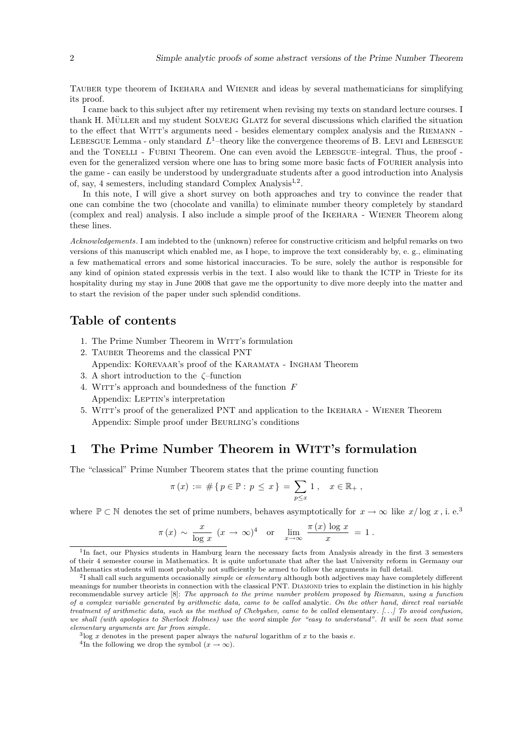Tauber type theorem of Ikehara and Wiener and ideas by several mathematicians for simplifying its proof.

I came back to this subject after my retirement when revising my texts on standard lecture courses. I thank H. MÜLLER and my student SOLVEJG GLATZ for several discussions which clarified the situation to the effect that WITT's arguments need - besides elementary complex analysis and the RIEMANN -LEBESGUE Lemma - only standard  $L^1$ -theory like the convergence theorems of B. LEVI and LEBESGUE and the TONELLI - FUBINI Theorem. One can even avoid the LEBESGUE–integral. Thus, the proof even for the generalized version where one has to bring some more basic facts of FOURIER analysis into the game - can easily be understood by undergraduate students after a good introduction into Analysis of, say, 4 semesters, including standard Complex Analysis<sup>1,2</sup>.

In this note, I will give a short survey on both approaches and try to convince the reader that one can combine the two (chocolate and vanilla) to eliminate number theory completely by standard (complex and real) analysis. I also include a simple proof of the Ikehara - Wiener Theorem along these lines.

Acknowledgements. I am indebted to the (unknown) referee for constructive criticism and helpful remarks on two versions of this manuscript which enabled me, as I hope, to improve the text considerably by, e. g., eliminating a few mathematical errors and some historical inaccuracies. To be sure, solely the author is responsible for any kind of opinion stated expressis verbis in the text. I also would like to thank the ICTP in Trieste for its hospitality during my stay in June 2008 that gave me the opportunity to dive more deeply into the matter and to start the revision of the paper under such splendid conditions.

### Table of contents

- 1. The Prime Number Theorem in Witt's formulation
- 2. TAUBER Theorems and the classical PNT Appendix: Korevaar's proof of the Karamata - Ingham Theorem
- 3. A short introduction to the ζ–function
- 4. WITT's approach and boundedness of the function  $F$ Appendix: LEPTIN's interpretation
- 5. Witt's proof of the generalized PNT and application to the Ikehara Wiener Theorem Appendix: Simple proof under Beurling's conditions

### 1 The Prime Number Theorem in WITT's formulation

The "classical" Prime Number Theorem states that the prime counting function

$$
\pi(x) := \#\{p \in \mathbb{P} : p \leq x\} = \sum_{p \leq x} 1, \quad x \in \mathbb{R}_+,
$$

where  $\mathbb{P} \subset \mathbb{N}$  denotes the set of prime numbers, behaves asymptotically for  $x \to \infty$  like  $x/\log x$ , i. e.<sup>3</sup>

$$
\pi(x) \sim \frac{x}{\log x} (x \to \infty)^4
$$
 or  $\lim_{x \to \infty} \frac{\pi(x) \log x}{x} = 1$ .

<sup>&</sup>lt;sup>1</sup>In fact, our Physics students in Hamburg learn the necessary facts from Analysis already in the first 3 semesters of their 4 semester course in Mathematics. It is quite unfortunate that after the last University reform in Germany our Mathematics students will most probably not sufficiently be armed to follow the arguments in full detail.

 $^{2}$ I shall call such arguments occasionally *simple* or *elementary* although both adjectives may have completely different meanings for number theorists in connection with the classical PNT. DIAMOND tries to explain the distinction in his highly recommendable survey article [8]: The approach to the prime number problem proposed by Riemann, using a function of a complex variable generated by arithmetic data, came to be called analytic. On the other hand, direct real variable treatment of arithmetic data, such as the method of Chebyshev, came to be called elementary. [. . .] To avoid confusion, we shall (with apologies to Sherlock Holmes) use the word simple for "easy to understand". It will be seen that some elementary arguments are far from simple.

 $3\log x$  denotes in the present paper always the *natural* logarithm of x to the basis e.

<sup>&</sup>lt;sup>4</sup>In the following we drop the symbol  $(x \to \infty)$ .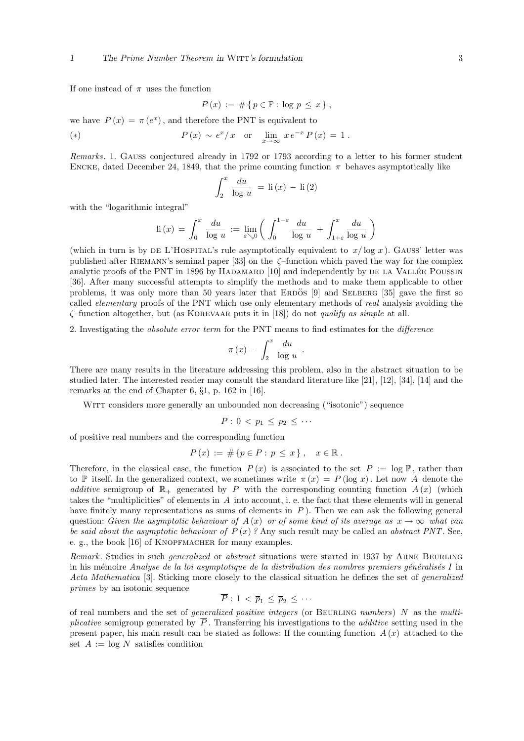If one instead of  $\pi$  uses the function

$$
P(x) := # \{ p \in \mathbb{P} : \log p \le x \},
$$

we have  $P(x) = \pi(e^x)$ , and therefore the PNT is equivalent to

(\*) 
$$
P(x) \sim e^x/x
$$
 or  $\lim_{x \to \infty} x e^{-x} P(x) = 1$ .

Remarks. 1. GAUSS conjectured already in 1792 or 1793 according to a letter to his former student ENCKE, dated December 24, 1849, that the prime counting function  $\pi$  behaves asymptotically like

$$
\int_{2}^{x} \frac{du}{\log u} = \text{li}(x) - \text{li}(2)
$$

with the "logarithmic integral"

$$
\mathrm{li}\,(x)\,=\,\int_0^x\,\frac{du}{\log\,u}\,:=\,\lim_{\varepsilon\searrow 0}\bigg(\,\int_0^{1-\varepsilon}\frac{du}{\log\,u}\,+\,\int_{1+\varepsilon}^x\frac{du}{\log\,u}\,\bigg)
$$

(which in turn is by DE L'HOSPITAL's rule asymptotically equivalent to  $x/\log x$ ). GAUSS' letter was published after RIEMANN's seminal paper [33] on the  $\zeta$ -function which paved the way for the complex analytic proofs of the PNT in 1896 by HADAMARD  $[10]$  and independently by DE LA VALLÉE POUSSIN [36]. After many successful attempts to simplify the methods and to make them applicable to other problems, it was only more than 50 years later that ERDOS [9] and SELBERG [35] gave the first so called *elementary* proofs of the PNT which use only elementary methods of *real* analysis avoiding the  $\zeta$ -function altogether, but (as KOREVAAR puts it in [18]) do not *qualify as simple* at all.

2. Investigating the absolute error term for the PNT means to find estimates for the difference

$$
\pi(x) - \int_2^x \frac{du}{\log u} .
$$

There are many results in the literature addressing this problem, also in the abstract situation to be studied later. The interested reader may consult the standard literature like [21], [12], [34], [14] and the remarks at the end of Chapter 6, §1, p. 162 in [16].

WITT considers more generally an unbounded non decreasing ("isotonic") sequence

$$
P: 0 < p_1 \leq p_2 \leq \cdots
$$

of positive real numbers and the corresponding function

$$
P(x) := \# \{ p \in P : p \le x \}, \quad x \in \mathbb{R}.
$$

Therefore, in the classical case, the function  $P(x)$  is associated to the set  $P := \log P$ , rather than to P itself. In the generalized context, we sometimes write  $\pi(x) = P(\log x)$ . Let now A denote the additive semigroup of  $\mathbb{R}_+$  generated by P with the corresponding counting function  $A(x)$  (which takes the "multiplicities" of elements in A into account, i. e. the fact that these elements will in general have finitely many representations as sums of elements in  $P$ ). Then we can ask the following general question: Given the asymptotic behaviour of  $A(x)$  or of some kind of its average as  $x \to \infty$  what can be said about the asymptotic behaviour of  $P(x)$ ? Any such result may be called an abstract PNT. See, e. g., the book [16] of KNOPFMACHER for many examples.

Remark. Studies in such *generalized* or abstract situations were started in 1937 by ARNE BEURLING in his mémoire Analyse de la loi asymptotique de la distribution des nombres premiers généralisés I in Acta Mathematica [3]. Sticking more closely to the classical situation he defines the set of generalized primes by an isotonic sequence

$$
\overline{P}: 1 < \overline{p}_1 \leq \overline{p}_2 \leq \cdots
$$

of real numbers and the set of *generalized positive integers* (or BEURLING *numbers*)  $N$  as the multiplicative semigroup generated by  $\overline{P}$ . Transferring his investigations to the *additive* setting used in the present paper, his main result can be stated as follows: If the counting function  $A(x)$  attached to the set  $A := \log N$  satisfies condition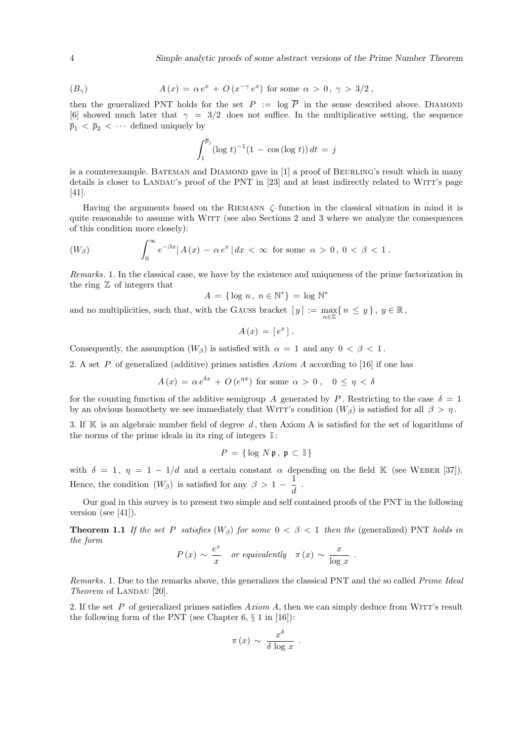$$
(B_{\gamma}) \qquad A(x) = \alpha e^x + O(x^{-\gamma} e^x) \text{ for some } \alpha > 0, \gamma > 3/2 ,
$$

then the generalized PNT holds for the set  $P := \log \overline{P}$  in the sense described above. DIAMOND [6] showed much later that  $\gamma = 3/2$  does not suffice. In the multiplicative setting, the sequence  $\overline{p}_1$  <  $\overline{p}_2$  <  $\cdots$  defined uniquely by

$$
\int_1^{\overline{p}_j} (\log t)^{-1} (1 - \cos(\log t)) dt = j
$$

is a counterexample. BATEMAN and DIAMOND gave in [1] a proof of BEURLING's result which in many details is closer to LANDAU's proof of the PNT in [23] and at least indirectly related to WITT's page [41].

Having the arguments based on the Riemann ζ–function in the classical situation in mind it is quite reasonable to assume with WITT (see also Sections 2 and 3 where we analyze the consequences of this condition more closely):

$$
(W_{\beta}) \qquad \int_0^{\infty} e^{-\beta x} |A(x) - \alpha e^x| dx < \infty \text{ for some } \alpha > 0, 0 < \beta < 1.
$$

Remarks. 1. In the classical case, we have by the existence and uniqueness of the prime factorization in the ring  $Z$  of integers that

 $A = \{ \log n, n \in \mathbb{N}^* \} = \log \mathbb{N}^*$ 

and no multiplicities, such that, with the GAUSS bracket  $[y] := \max_{n \in \mathbb{Z}} \{n \le y\}$ ,  $y \in \mathbb{R}$ ,

$$
A\left(x\right) = \left[e^x\right].
$$

Consequently, the assumption  $(W_\beta)$  is satisfied with  $\alpha = 1$  and any  $0 < \beta < 1$ .

2. A set P of generalized (additive) primes satisfies Axiom A according to [16] if one has

$$
A(x) = \alpha e^{\delta x} + O(e^{\eta x})
$$
 for some  $\alpha > 0$ ,  $0 \le \eta < \delta$ 

for the counting function of the additive semigroup A generated by P. Restricting to the case  $\delta = 1$ by an obvious homothety we see immediately that WITT's condition  $(W_{\beta})$  is satisfied for all  $\beta > \eta$ .

3. If  $K$  is an algebraic number field of degree d, then Axiom A is satisfied for the set of logarithms of the norms of the prime ideals in its ring of integers  $\mathbb{I}$ :

$$
P = \{ \log N \mathfrak{p}, \mathfrak{p} \subset \mathbb{I} \}
$$

with  $\delta = 1$ ,  $\eta = 1 - 1/d$  and a certain constant  $\alpha$  depending on the field K (see WEBER [37]). Hence, the condition  $(W_\beta)$  is satisfied for any  $\beta > 1 - \frac{1}{\beta}$  $\frac{1}{d}$ .

Our goal in this survey is to present two simple and self contained proofs of the PNT in the following version (see [41]).

**Theorem 1.1** If the set P satisfies  $(W_{\beta})$  for some  $0 < \beta < 1$  then the (generalized) PNT holds in the form

$$
P(x) \sim \frac{e^x}{x}
$$
 or equivalently  $\pi(x) \sim \frac{x}{\log x}$ .

Remarks. 1. Due to the remarks above, this generalizes the classical PNT and the so called *Prime Ideal* Theorem of LANDAU  $[20]$ .

2. If the set  $P$  of generalized primes satisfies  $Axiom A$ , then we can simply deduce from WITT's result the following form of the PNT (see Chapter 6,  $\S 1$  in [16]):

$$
\pi(x) \sim \frac{x^{\delta}}{\delta \log x} .
$$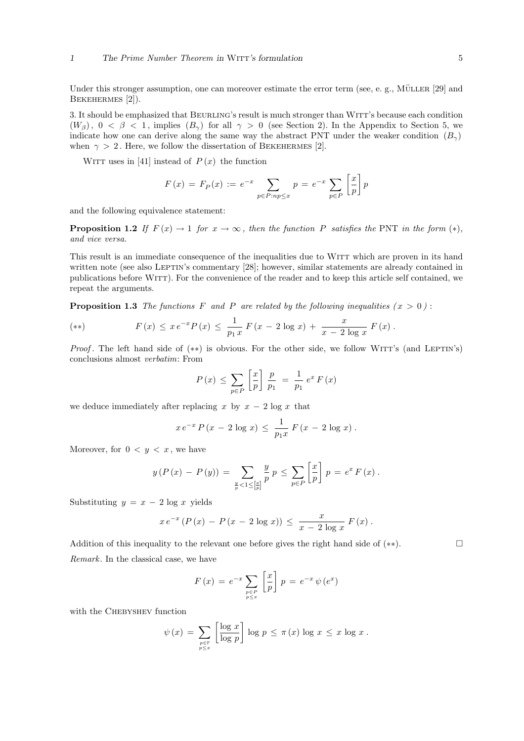Under this stronger assumption, one can moreover estimate the error term (see, e. g., MÜLLER  $[29]$  and BEKEHERMES [2]).

3. It should be emphasized that Beurling's result is much stronger than Witt's because each condition  $(W_{\beta})$ ,  $0 < \beta < 1$ , implies  $(B_{\gamma})$  for all  $\gamma > 0$  (see Section 2). In the Appendix to Section 5, we indicate how one can derive along the same way the abstract PNT under the weaker condition  $(B_{\gamma})$ when  $\gamma > 2$ . Here, we follow the dissertation of BEKEHERMES [2].

WITT uses in [41] instead of  $P(x)$  the function

$$
F(x) = F_P(x) := e^{-x} \sum_{p \in P : np \le x} p = e^{-x} \sum_{p \in P} \left[ \frac{x}{p} \right] p
$$

and the following equivalence statement:

**Proposition 1.2** If  $F(x) \to 1$  for  $x \to \infty$ , then the function P satisfies the PNT in the form  $(*)$ , and vice versa.

This result is an immediate consequence of the inequalities due to WITT which are proven in its hand written note (see also LEPTIN's commentary [28]; however, similar statements are already contained in publications before Witt). For the convenience of the reader and to keep this article self contained, we repeat the arguments.

**Proposition 1.3** The functions F and P are related by the following inequalities  $(x > 0)$ :

(\*\*) 
$$
F(x) \leq x e^{-x} P(x) \leq \frac{1}{p_1 x} F(x - 2 \log x) + \frac{x}{x - 2 \log x} F(x).
$$

*Proof.* The left hand side of  $(**)$  is obvious. For the other side, we follow WITT's (and LEPTIN's) conclusions almost verbatim: From

$$
P(x) \le \sum_{p \in P} \left[ \frac{x}{p} \right] \frac{p}{p_1} = \frac{1}{p_1} e^x F(x)
$$

we deduce immediately after replacing x by  $x - 2 \log x$  that

$$
x e^{-x} P(x - 2 \log x) \le \frac{1}{p_1 x} F(x - 2 \log x).
$$

Moreover, for  $0 < y < x$ , we have

$$
y(P(x) - P(y)) = \sum_{\frac{y}{p} < 1 \leq [\frac{x}{p}]} \frac{y}{p} p \leq \sum_{p \in P} [\frac{x}{p}] p = e^x F(x).
$$

Substituting  $y = x - 2 \log x$  yields

$$
x e^{-x} (P(x) - P(x - 2 \log x)) \leq \frac{x}{x - 2 \log x} F(x).
$$

Addition of this inequality to the relevant one before gives the right hand side of  $(**)$ . Remark. In the classical case, we have

$$
F(x) = e^{-x} \sum_{\substack{p \in P \\ p \le x}} \left[ \frac{x}{p} \right] p = e^{-x} \psi(e^x)
$$

with the CHEBYSHEV function

$$
\psi(x) = \sum_{\substack{p \in \mathbb{P} \\ p \leq x}} \left[ \frac{\log x}{\log p} \right] \log p \leq \pi(x) \log x \leq x \log x.
$$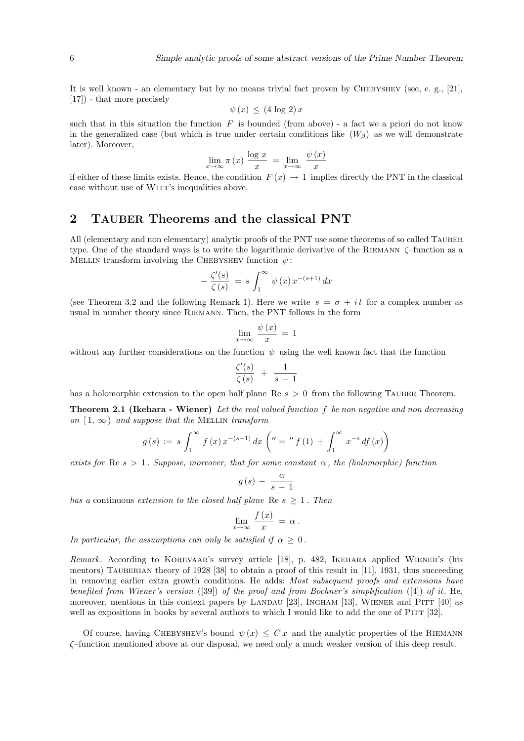It is well known - an elementary but by no means trivial fact proven by CHEBYSHEV (see, e. g., [21], [17]) - that more precisely

$$
\psi(x) \leq (4 \log 2) x
$$

such that in this situation the function  $F$  is bounded (from above) - a fact we a priori do not know in the generalized case (but which is true under certain conditions like  $(W_\beta)$ ) as we will demonstrate later). Moreover,

$$
\lim_{x \to \infty} \pi(x) \frac{\log x}{x} = \lim_{x \to \infty} \frac{\psi(x)}{x}
$$

if either of these limits exists. Hence, the condition  $F(x) \to 1$  implies directly the PNT in the classical case without use of WITT's inequalities above.

### 2 TAUBER Theorems and the classical PNT

All (elementary and non elementary) analytic proofs of the PNT use some theorems of so called TAUBER type. One of the standard ways is to write the logarithmic derivative of the RIEMANN  $\zeta$ -function as a MELLIN transform involving the CHEBYSHEV function  $\psi$ :

$$
-\frac{\zeta'(s)}{\zeta(s)} = s \int_1^\infty \psi(x) x^{-(s+1)} dx
$$

(see Theorem 3.2 and the following Remark 1). Here we write  $s = \sigma + it$  for a complex number as usual in number theory since Riemann. Then, the PNT follows in the form

$$
\lim_{x \to \infty} \frac{\psi(x)}{x} = 1
$$

without any further considerations on the function  $\psi$  using the well known fact that the function

$$
\frac{\zeta'(s)}{\zeta(s)} + \frac{1}{s-1}
$$

has a holomorphic extension to the open half plane  $\text{Re } s > 0$  from the following TAUBER Theorem.

**Theorem 2.1 (Ikehara - Wiener)** Let the real valued function  $f$  be non negative and non decreasing on  $[1, \infty)$  and suppose that the MELLIN transform

$$
g(s) := s \int_1^{\infty} f(x) x^{-(s+1)} dx \left( u = u' f(1) + \int_1^{\infty} x^{-s} df(x) \right)
$$

exists for Re  $s > 1$ . Suppose, moreover, that for some constant  $\alpha$ , the (holomorphic) function

$$
g(s) - \frac{\alpha}{s-1}
$$

has a continuous extension to the closed half plane Re  $s \geq 1$ . Then

$$
\lim_{x \to \infty} \frac{f(x)}{x} = \alpha.
$$

In particular, the assumptions can only be satisfied if  $\alpha \geq 0$ .

Remark. According to Korevaar's survey article [18], p. 482, Ikehara applied Wiener's (his mentors) TAUBERIAN theory of 1928 [38] to obtain a proof of this result in [11], 1931, thus succeeding in removing earlier extra growth conditions. He adds: Most subsequent proofs and extensions have benefited from Wiener's version ([39]) of the proof and from Bochner's simplification ([4]) of it. He, moreover, mentions in this context papers by LANDAU [23], INGHAM [13], WIENER and PITT  $[40]$  as well as expositions in books by several authors to which I would like to add the one of PITT [32].

Of course, having CHEBYSHEV's bound  $\psi(x) \leq Cx$  and the analytic properties of the RIEMANN ζ–function mentioned above at our disposal, we need only a much weaker version of this deep result.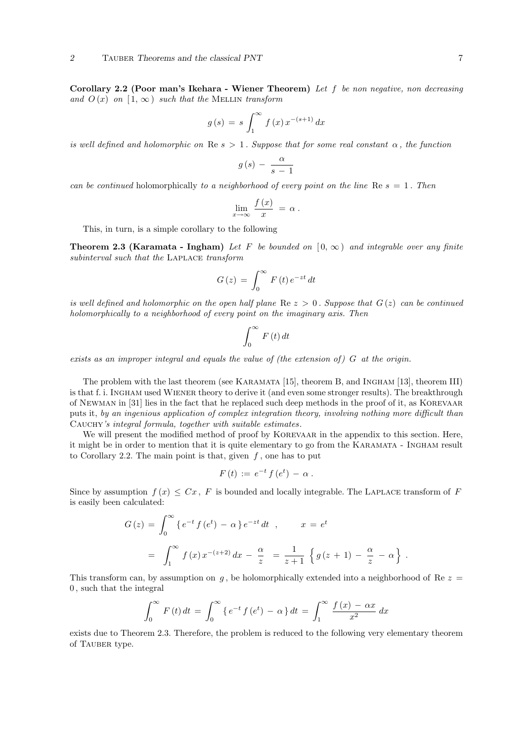Corollary 2.2 (Poor man's Ikehara - Wiener Theorem) Let f be non negative, non decreasing and  $O(x)$  on  $[1, \infty)$  such that the MELLIN transform

$$
g(s) = s \int_1^{\infty} f(x) x^{-(s+1)} dx
$$

is well defined and holomorphic on Re  $s > 1$ . Suppose that for some real constant  $\alpha$ , the function

$$
g(s) - \frac{\alpha}{s-1}
$$

can be continued holomorphically to a neighborhood of every point on the line Re  $s = 1$ . Then

$$
\lim_{x \to \infty} \frac{f(x)}{x} = \alpha.
$$

This, in turn, is a simple corollary to the following

**Theorem 2.3 (Karamata - Ingham)** Let F be bounded on  $[0, \infty)$  and integrable over any finite subinterval such that the LAPLACE transform

$$
G(z) = \int_0^\infty F(t) e^{-zt} dt
$$

is well defined and holomorphic on the open half plane Re  $z > 0$ . Suppose that  $G(z)$  can be continued holomorphically to a neighborhood of every point on the imaginary axis. Then

$$
\int_{0}^{\infty} F(t) dt
$$

exists as an improper integral and equals the value of (the extension of)  $G$  at the origin.

The problem with the last theorem (see KARAMATA [15], theorem B, and INGHAM [13], theorem III) is that f. i. Ingham used Wiener theory to derive it (and even some stronger results). The breakthrough of Newman in [31] lies in the fact that he replaced such deep methods in the proof of it, as Korevaar puts it, by an ingenious application of complex integration theory, involving nothing more difficult than Cauchy's integral formula, together with suitable estimates.

We will present the modified method of proof by KOREVAAR in the appendix to this section. Here, it might be in order to mention that it is quite elementary to go from the KARAMATA - INGHAM result to Corollary 2.2. The main point is that, given  $f$ , one has to put

$$
F(t) := e^{-t} f(e^t) - \alpha.
$$

Since by assumption  $f(x) \leq Cx$ , F is bounded and locally integrable. The LAPLACE transform of F is easily been calculated:

$$
G(z) = \int_0^\infty \{e^{-t} f(e^t) - \alpha\} e^{-zt} dt , \qquad x = e^t
$$
  
= 
$$
\int_1^\infty f(x) x^{-(z+2)} dx - \frac{\alpha}{z} = \frac{1}{z+1} \{g(z+1) - \frac{\alpha}{z} - \alpha\} .
$$

This transform can, by assumption on  $g$ , be holomorphically extended into a neighborhood of Re  $z =$ 0 , such that the integral

$$
\int_0^{\infty} F(t) dt = \int_0^{\infty} \{ e^{-t} f(e^t) - \alpha \} dt = \int_1^{\infty} \frac{f(x) - \alpha x}{x^2} dx
$$

exists due to Theorem 2.3. Therefore, the problem is reduced to the following very elementary theorem of Tauber type.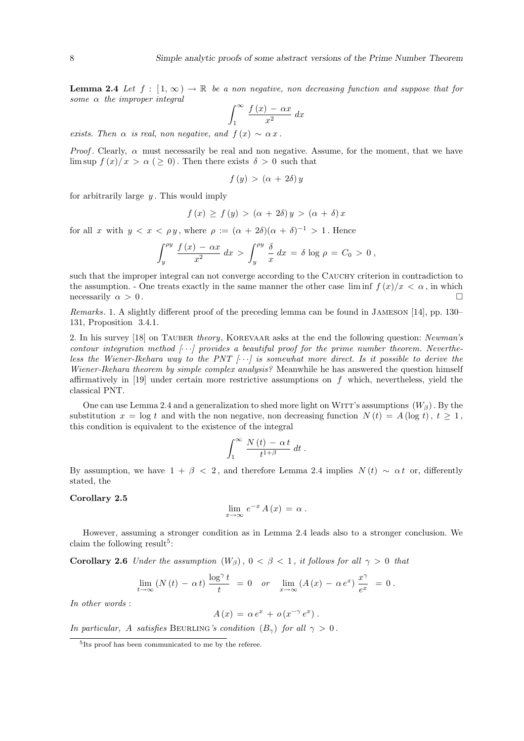**Lemma 2.4** Let  $f : [1, \infty) \to \mathbb{R}$  be a non negative, non decreasing function and suppose that for some  $\alpha$  the improper integral  $\overline{r}$ 

$$
\int_{1}^{\infty} \frac{f(x) - \alpha x}{x^2} \, dx
$$

exists. Then  $\alpha$  is real, non negative, and  $f(x) \sim \alpha x$ .

*Proof.* Clearly,  $\alpha$  must necessarily be real and non negative. Assume, for the moment, that we have lim sup  $f(x)/x > \alpha$  (  $\geq 0$ ). Then there exists  $\delta > 0$  such that

$$
f(y) > (\alpha + 2\delta) y
$$

for arbitrarily large  $y$ . This would imply

$$
f(x) \ge f(y) > (\alpha + 2\delta) y > (\alpha + \delta) x
$$

for all x with  $y < x < \rho y$ , where  $\rho := (\alpha + 2\delta)(\alpha + \delta)^{-1} > 1$ . Hence

$$
\int_{y}^{\rho y} \frac{f(x) - \alpha x}{x^2} dx > \int_{y}^{\rho y} \frac{\delta}{x} dx = \delta \log \rho = C_0 > 0,
$$

such that the improper integral can not converge according to the CAUCHY criterion in contradiction to the assumption. - One treats exactly in the same manner the other case  $\liminf f(x)/x < \alpha$ , in which necessarily  $\alpha > 0$ .

Remarks. 1. A slightly different proof of the preceding lemma can be found in Jameson [14], pp. 130– 131, Proposition 3.4.1.

2. In his survey [18] on TAUBER theory, KOREVAAR asks at the end the following question: Newman's contour integration method  $[\cdots]$  provides a beautiful proof for the prime number theorem. Nevertheless the Wiener-Ikehara way to the PNT  $\left[\cdots\right]$  is somewhat more direct. Is it possible to derive the Wiener-Ikehara theorem by simple complex analysis? Meanwhile he has answered the question himself affirmatively in [19] under certain more restrictive assumptions on  $f$  which, nevertheless, yield the classical PNT.

One can use Lemma 2.4 and a generalization to shed more light on WITT's assumptions  $(W_{\beta})$ . By the substitution  $x = \log t$  and with the non negative, non decreasing function  $N(t) = A(\log t), t \ge 1$ , this condition is equivalent to the existence of the integral

$$
\int_1^\infty \frac{N(t) - \alpha t}{t^{1+\beta}} dt.
$$

By assumption, we have  $1 + \beta < 2$ , and therefore Lemma 2.4 implies  $N(t) \sim \alpha t$  or, differently stated, the

#### Corollary 2.5

$$
\lim_{x \to \infty} e^{-x} A(x) = \alpha.
$$

However, assuming a stronger condition as in Lemma 2.4 leads also to a stronger conclusion. We claim the following result<sup>5</sup>:

Corollary 2.6 Under the assumption  $(W_{\beta})$ ,  $0 < \beta < 1$ , it follows for all  $\gamma > 0$  that

$$
\lim_{t \to \infty} (N(t) - \alpha t) \frac{\log^{\gamma} t}{t} = 0 \quad or \quad \lim_{x \to \infty} (A(x) - \alpha e^{x}) \frac{x^{\gamma}}{e^{x}} = 0.
$$

In other words :

$$
A(x) = \alpha e^x + o(x^{-\gamma} e^x).
$$

In particular, A satisfies BEURLING's condition  $(B_{\gamma})$  for all  $\gamma > 0$ .

<sup>5</sup> Its proof has been communicated to me by the referee.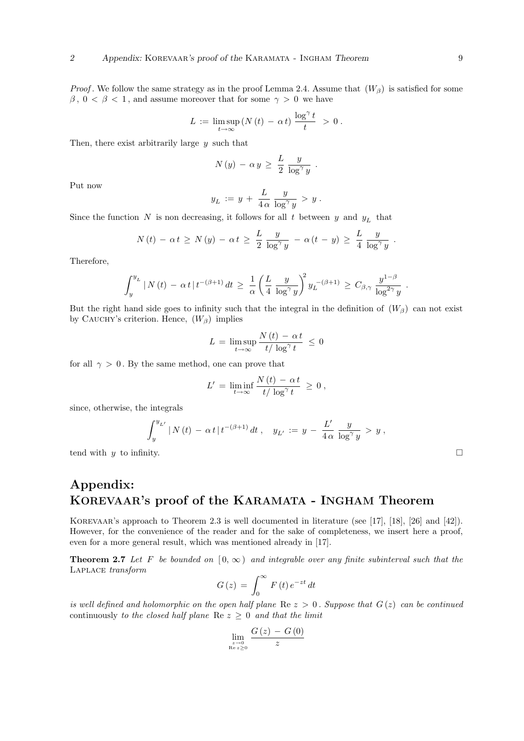*Proof.* We follow the same strategy as in the proof Lemma 2.4. Assume that  $(W_\beta)$  is satisfied for some  $\beta$ ,  $0 < \beta < 1$ , and assume moreover that for some  $\gamma > 0$  we have

$$
L \,:=\, \limsup_{t\to\infty} \left( N\left(t\right) \,-\, \alpha\, t\right) \,\frac{\log^\gamma t}{t} \,\, > \, 0 \; .
$$

Then, there exist arbitrarily large  $y$  such that

$$
N(y) - \alpha y \geq \frac{L}{2} \frac{y}{\log^{\gamma} y} .
$$

Put now

$$
y_L := y + \frac{L}{4\,\alpha} \, \frac{y}{\log^{\gamma} y} > y.
$$

Since the function N is non decreasing, it follows for all t between y and  $y_L$  that

$$
N(t) - \alpha t \ge N(y) - \alpha t \ge \frac{L}{2} \frac{y}{\log^{\gamma} y} - \alpha (t - y) \ge \frac{L}{4} \frac{y}{\log^{\gamma} y}.
$$

Therefore,

$$
\int_{y}^{y_L} |N(t) - \alpha t| t^{-(\beta+1)} dt \ge \frac{1}{\alpha} \left( \frac{L}{4} \frac{y}{\log^{\gamma} y} \right)^2 y_L^{-(\beta+1)} \ge C_{\beta, \gamma} \frac{y^{1-\beta}}{\log^{2\gamma} y}.
$$

But the right hand side goes to infinity such that the integral in the definition of  $(W_\beta)$  can not exist by CAUCHY's criterion. Hence,  $(W_\beta)$  implies

$$
L = \limsup_{t \to \infty} \frac{N(t) - \alpha t}{t / \log^{\gamma} t} \le 0
$$

for all  $\gamma > 0$ . By the same method, one can prove that

$$
L' = \liminf_{t \to \infty} \frac{N(t) - \alpha t}{t/\log^{\gamma} t} \ge 0,
$$

since, otherwise, the integrals

$$
\int_{y}^{y_{L'}} |N(t) - \alpha t| t^{-(\beta+1)} dt , \quad y_{L'} := y - \frac{L'}{4\alpha} \frac{y}{\log^{\gamma} y} > y ,
$$

tend with y to infinity.  $\Box$ 

## Appendix: KOREVAAR's proof of the KARAMATA - INGHAM Theorem

KOREVAAR's approach to Theorem 2.3 is well documented in literature (see [17], [18], [26] and [42]). However, for the convenience of the reader and for the sake of completeness, we insert here a proof, even for a more general result, which was mentioned already in [17].

**Theorem 2.7** Let F be bounded on  $[0, \infty)$  and integrable over any finite subinterval such that the Laplace transform

$$
G(z) = \int_0^\infty F(t) e^{-zt} dt
$$

is well defined and holomorphic on the open half plane Re  $z > 0$ . Suppose that  $G(z)$  can be continued continuously to the closed half plane Re  $z \geq 0$  and that the limit

$$
\lim_{\substack{z \to 0 \\ \text{Re } z \ge 0}} \frac{G(z) - G(0)}{z}
$$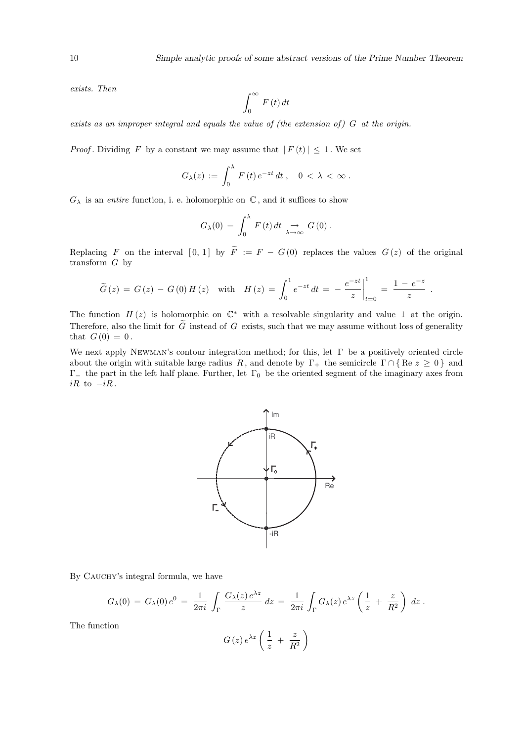exists. Then

$$
\int_{0}^{\infty} F\left(t\right) dt
$$

exists as an improper integral and equals the value of (the extension of)  $G$  at the origin.

*Proof.* Dividing F by a constant we may assume that  $|F(t)| \leq 1$ . We set

$$
G_{\lambda}(z) := \int_0^{\lambda} F(t) e^{-zt} dt, \quad 0 < \lambda < \infty.
$$

 $G_{\lambda}$  is an entire function, i. e. holomorphic on  $\mathbb{C}$ , and it suffices to show

$$
G_{\lambda}(0) = \int_0^{\lambda} F(t) dt \underset{\lambda \to \infty}{\to} G(0) .
$$

Replacing F on the interval  $[0, 1]$  by  $\widetilde{F} := F - G(0)$  replaces the values  $G(z)$  of the original transform  $G$  by

$$
\widetilde{G}(z) = G(z) - G(0)H(z) \text{ with } H(z) = \int_0^1 e^{-zt} dt = -\frac{e^{-zt}}{z} \Big|_{t=0}^1 = \frac{1 - e^{-z}}{z}.
$$

The function  $H(z)$  is holomorphic on  $\mathbb{C}^*$  with a resolvable singularity and value 1 at the origin. Therefore, also the limit for  $\tilde{G}$  instead of G exists, such that we may assume without loss of generality that  $G(0) = 0$ .

We next apply NEWMAN's contour integration method; for this, let  $\Gamma$  be a positively oriented circle about the origin with suitable large radius R, and denote by  $\Gamma_+$  the semicircle  $\Gamma \cap {\rm Re} z \geq 0$  } and  $Γ_$  the part in the left half plane. Further, let  $Γ_0$  be the oriented segment of the imaginary axes from  $iR$  to  $-iR$ .



By CAUCHY's integral formula, we have

$$
G_{\lambda}(0) = G_{\lambda}(0) e^{0} = \frac{1}{2\pi i} \int_{\Gamma} \frac{G_{\lambda}(z) e^{\lambda z}}{z} dz = \frac{1}{2\pi i} \int_{\Gamma} G_{\lambda}(z) e^{\lambda z} \left(\frac{1}{z} + \frac{z}{R^{2}}\right) dz.
$$

The function

$$
G\left(z\right)e^{\lambda z}\left(\frac{1}{z} + \frac{z}{R^2}\right)
$$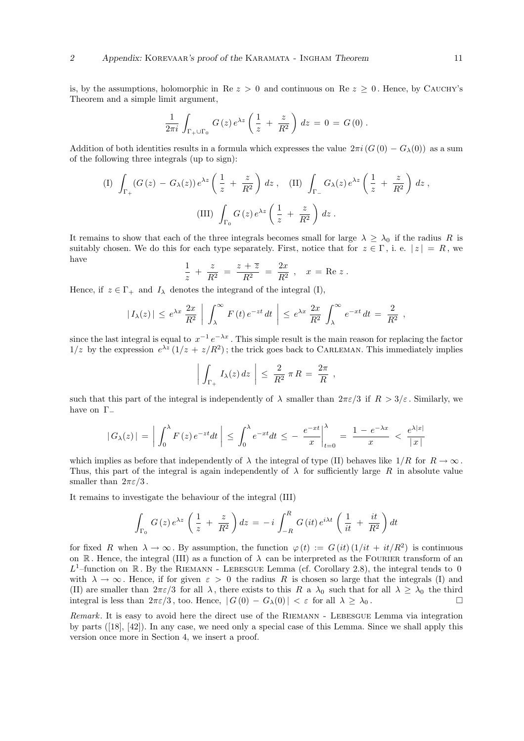is, by the assumptions, holomorphic in Re  $z > 0$  and continuous on Re  $z \geq 0$ . Hence, by CAUCHY's Theorem and a simple limit argument,

$$
\frac{1}{2\pi i} \int_{\Gamma_+ \cup \Gamma_0} G(z) e^{\lambda z} \left( \frac{1}{z} + \frac{z}{R^2} \right) dz = 0 = G(0) .
$$

Addition of both identities results in a formula which expresses the value  $2\pi i (G(0) - G_{\lambda}(0))$  as a sum of the following three integrals (up to sign):

(I) 
$$
\int_{\Gamma_+} (G(z) - G_\lambda(z)) e^{\lambda z} \left( \frac{1}{z} + \frac{z}{R^2} \right) dz
$$
, (II)  $\int_{\Gamma_-} G_\lambda(z) e^{\lambda z} \left( \frac{1}{z} + \frac{z}{R^2} \right) dz$ ,  
(III)  $\int_{\Gamma_0} G(z) e^{\lambda z} \left( \frac{1}{z} + \frac{z}{R^2} \right) dz$ .

It remains to show that each of the three integrals becomes small for large  $\lambda \geq \lambda_0$  if the radius R is suitably chosen. We do this for each type separately. First, notice that for  $z \in \Gamma$ , i. e.  $|z| = R$ , we have

$$
\frac{1}{z} + \frac{z}{R^2} = \frac{z + \overline{z}}{R^2} = \frac{2x}{R^2}, \quad x = \text{Re } z.
$$

Hence, if  $z \in \Gamma_+$  and  $I_\lambda$  denotes the integrand of the integral (I),

$$
|I_{\lambda}(z)| \leq e^{\lambda x} \frac{2x}{R^2} \bigg| \int_{\lambda}^{\infty} F(t) e^{-zt} dt \bigg| \leq e^{\lambda x} \frac{2x}{R^2} \int_{\lambda}^{\infty} e^{-xt} dt = \frac{2}{R^2},
$$

since the last integral is equal to  $x^{-1}e^{-\lambda x}$ . This simple result is the main reason for replacing the factor  $1/z$  by the expression  $e^{\lambda z} (1/z + z/R^2)$ ; the trick goes back to CARLEMAN. This immediately implies

$$
\left| \int_{\Gamma_+} I_\lambda(z) dz \right| \leq \frac{2}{R^2} \pi R = \frac{2\pi}{R} ,
$$

such that this part of the integral is independently of  $\lambda$  smaller than  $2\pi\varepsilon/3$  if  $R > 3/\varepsilon$ . Similarly, we have on  $\Gamma_-\$ 

$$
|G_{\lambda}(z)| = \left| \int_0^{\lambda} F(z) e^{-zt} dt \right| \leq \int_0^{\lambda} e^{-xt} dt \leq - \left. \frac{e^{-xt}}{x} \right|_{t=0}^{\lambda} = \frac{1 - e^{-\lambda x}}{x} < \frac{e^{\lambda |x|}}{|x|}
$$

which implies as before that independently of  $\lambda$  the integral of type (II) behaves like  $1/R$  for  $R \to \infty$ . Thus, this part of the integral is again independently of  $\lambda$  for sufficiently large R in absolute value smaller than  $2\pi\varepsilon/3$ .

It remains to investigate the behaviour of the integral (III)

$$
\int_{\Gamma_0} G(z) e^{\lambda z} \left( \frac{1}{z} + \frac{z}{R^2} \right) dz = -i \int_{-R}^{R} G(it) e^{i\lambda t} \left( \frac{1}{it} + \frac{it}{R^2} \right) dt
$$

for fixed R when  $\lambda \to \infty$ . By assumption, the function  $\varphi(t) := G(it) (1/it + it/R^2)$  is continuous on R. Hence, the integral (III) as a function of  $\lambda$  can be interpreted as the FOURIER transform of an  $L^1$ -function on R. By the RIEMANN - LEBESGUE Lemma (cf. Corollary 2.8), the integral tends to 0 with  $\lambda \to \infty$ . Hence, if for given  $\varepsilon > 0$  the radius R is chosen so large that the integrals (I) and (II) are smaller than  $2\pi\varepsilon/3$  for all  $\lambda$ , there exists to this R a  $\lambda_0$  such that for all  $\lambda \geq \lambda_0$  the third integral is less than  $2\pi\varepsilon/3$ , too. Hence,  $|G(0) - G_\lambda(0)| < \varepsilon$  for all  $\lambda \geq \lambda_0$ .

Remark. It is easy to avoid here the direct use of the RIEMANN - LEBESGUE Lemma via integration by parts ([18], [42]). In any case, we need only a special case of this Lemma. Since we shall apply this version once more in Section 4, we insert a proof.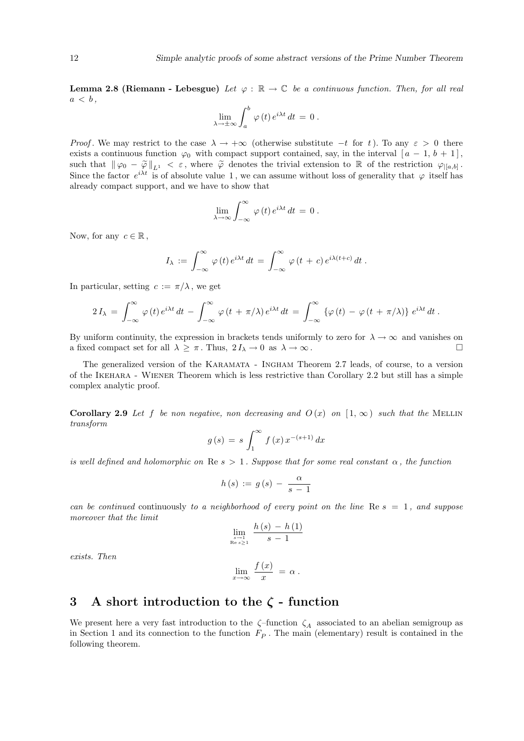**Lemma 2.8 (Riemann - Lebesgue)** Let  $\varphi : \mathbb{R} \to \mathbb{C}$  be a continuous function. Then, for all real  $a < b$ ,

$$
\lim_{\lambda \to \pm \infty} \int_a^b \varphi(t) e^{i\lambda t} dt = 0.
$$

*Proof.* We may restrict to the case  $\lambda \to +\infty$  (otherwise substitute  $-t$  for t). To any  $\varepsilon > 0$  there exists a continuous function  $\varphi_0$  with compact support contained, say, in the interval  $[a - 1, b + 1]$ , such that  $\|\varphi_0 - \widetilde{\varphi}\|_{L^1} < \varepsilon$ , where  $\widetilde{\varphi}$  denotes the trivial extension to R of the restriction  $\varphi_{|[a,b]}$ . Since the factor  $e^{i\lambda t}$  is of absolute value 1, we can assume without loss of generality that  $\varphi$  itself has already compact support, and we have to show that

$$
\lim_{\lambda \to \infty} \int_{-\infty}^{\infty} \varphi(t) e^{i\lambda t} dt = 0.
$$

Now, for any  $c \in \mathbb{R}$ ,

$$
I_{\lambda} := \int_{-\infty}^{\infty} \varphi(t) e^{i\lambda t} dt = \int_{-\infty}^{\infty} \varphi(t+c) e^{i\lambda(t+c)} dt.
$$

In particular, setting  $c := \pi/\lambda$ , we get

$$
2 I_{\lambda} = \int_{-\infty}^{\infty} \varphi(t) e^{i\lambda t} dt - \int_{-\infty}^{\infty} \varphi(t + \pi/\lambda) e^{i\lambda t} dt = \int_{-\infty}^{\infty} {\varphi(t) - \varphi(t + \pi/\lambda)} e^{i\lambda t} dt.
$$

By uniform continuity, the expression in brackets tends uniformly to zero for  $\lambda \to \infty$  and vanishes on a fixed compact set for all  $\lambda \geq \pi$ . Thus,  $2I_{\lambda} \to 0$  as  $\lambda \to \infty$ .

The generalized version of the Karamata - Ingham Theorem 2.7 leads, of course, to a version of the Ikehara - Wiener Theorem which is less restrictive than Corollary 2.2 but still has a simple complex analytic proof.

Corollary 2.9 Let f be non negative, non decreasing and  $O(x)$  on  $[1,\infty)$  such that the MELLIN transform

$$
g(s) = s \int_1^{\infty} f(x) x^{-(s+1)} dx
$$

is well defined and holomorphic on Re  $s > 1$ . Suppose that for some real constant  $\alpha$ , the function

$$
h(s) := g(s) - \frac{\alpha}{s-1}
$$

can be continued continuously to a neighborhood of every point on the line  $\text{Re } s = 1$ , and suppose moreover that the limit

$$
\lim_{\substack{s \to 1 \\ \text{Re } s > 1}} \frac{h\left(s\right) - h\left(1\right)}{s - 1}
$$

exists. Then

$$
\lim_{x \to \infty} \frac{f(x)}{x} = \alpha.
$$

### 3 A short introduction to the  $\zeta$  - function

We present here a very fast introduction to the  $\zeta$ -function  $\zeta_A$  associated to an abelian semigroup as in Section 1 and its connection to the function  $F_P$ . The main (elementary) result is contained in the following theorem.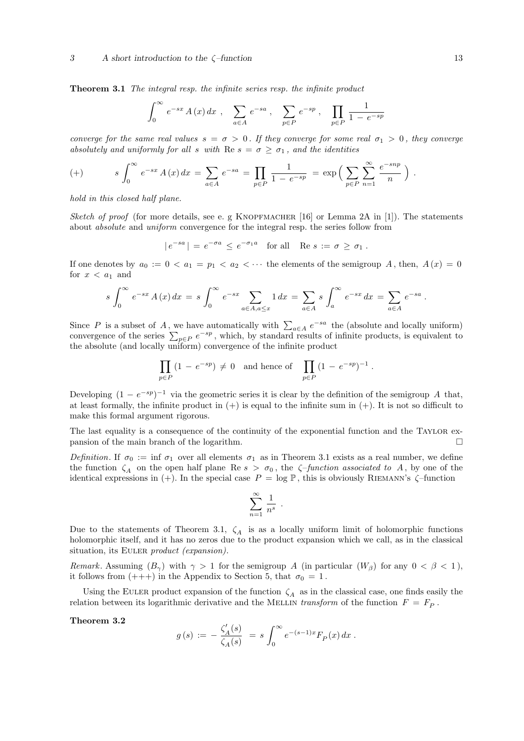**Theorem 3.1** The integral resp. the infinite series resp. the infinite product

$$
\int_0^\infty e^{-sx} A(x) dx , \sum_{a \in A} e^{-sa} , \sum_{p \in P} e^{-sp} , \prod_{p \in P} \frac{1}{1 - e^{-sp}}
$$

converge for the same real values  $s = \sigma > 0$ . If they converge for some real  $\sigma_1 > 0$ , they converge absolutely and uniformly for all s with Re  $s = \sigma \geq \sigma_1$ , and the identities

(+) 
$$
s \int_0^{\infty} e^{-sx} A(x) dx = \sum_{a \in A} e^{-sa} = \prod_{p \in P} \frac{1}{1 - e^{-sp}} = \exp \left( \sum_{p \in P} \sum_{n=1}^{\infty} \frac{e^{-snp}}{n} \right).
$$

hold in this closed half plane.

Sketch of proof (for more details, see e. g KNOPFMACHER [16] or Lemma 2A in [1]). The statements about absolute and uniform convergence for the integral resp. the series follow from

 $|e^{-sa}| = e^{-\sigma a} \le e^{-\sigma_1 a}$  for all Re  $s := \sigma \ge \sigma_1$ .

If one denotes by  $a_0 := 0 < a_1 = p_1 < a_2 < \cdots$  the elements of the semigroup A, then,  $A(x) = 0$ for  $x < a_1$  and

$$
s \int_0^{\infty} e^{-sx} A(x) dx = s \int_0^{\infty} e^{-sx} \sum_{a \in A, a \le x} 1 dx = \sum_{a \in A} s \int_a^{\infty} e^{-sx} dx = \sum_{a \in A} e^{-sa}.
$$

Since P is a subset of A, we have automatically with  $\sum_{a \in A} e^{-sa}$  the (absolute and locally uniform) convergence of the series  $\sum_{p \in P} e^{-sp}$ , which, by standard results of infinite products, is equivalent to the absolute (and locally uniform) convergence of the infinite product

$$
\prod_{p \in P} (1 - e^{-sp}) \neq 0 \text{ and hence of } \prod_{p \in P} (1 - e^{-sp})^{-1}
$$

.

Developing  $(1 - e^{-sp})^{-1}$  via the geometric series it is clear by the definition of the semigroup A that, at least formally, the infinite product in  $(+)$  is equal to the infinite sum in  $(+)$ . It is not so difficult to make this formal argument rigorous.

The last equality is a consequence of the continuity of the exponential function and the TAYLOR expansion of the main branch of the logarithm.  $\Box$ 

Definition. If  $\sigma_0 := \inf \sigma_1$  over all elements  $\sigma_1$  as in Theorem 3.1 exists as a real number, we define the function  $\zeta_A$  on the open half plane Re  $s > \sigma_0$ , the  $\zeta$ -function associated to A, by one of the identical expressions in (+). In the special case  $P = \log P$ , this is obviously RIEMANN's  $\zeta$ -function

$$
\sum_{n=1}^{\infty} \frac{1}{n^s} .
$$

Due to the statements of Theorem 3.1,  $\zeta_A$  is as a locally uniform limit of holomorphic functions holomorphic itself, and it has no zeros due to the product expansion which we call, as in the classical situation, its EULER *product (expansion)*.

Remark. Assuming  $(B_{\gamma})$  with  $\gamma > 1$  for the semigroup A (in particular  $(W_{\beta})$  for any  $0 < \beta < 1$ ), it follows from  $(++)$  in the Appendix to Section 5, that  $\sigma_0 = 1$ .

Using the EULER product expansion of the function  $\zeta_A$  as in the classical case, one finds easily the relation between its logarithmic derivative and the MELLIN transform of the function  $F = F<sub>P</sub>$ .

Theorem 3.2

$$
g(s) \,:=\, -\,\frac{\zeta_A'(s)}{\zeta_A(s)}\ =\, s\, \int_0^\infty e^{-(s-1)x} F_P(x)\, dx\ .
$$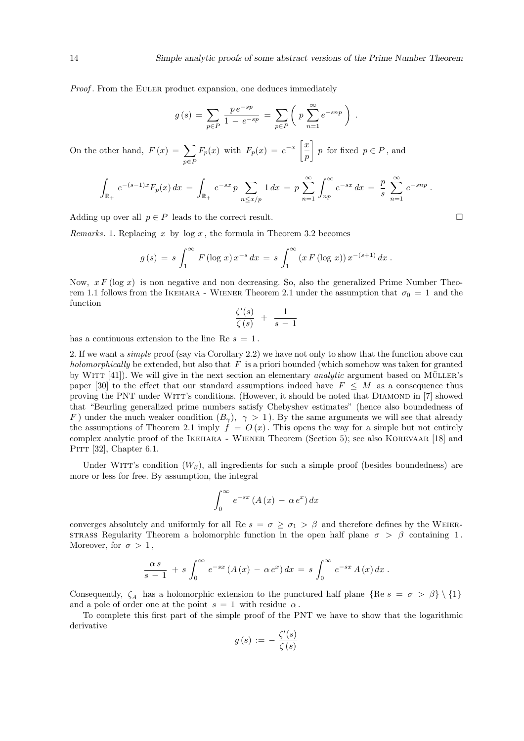Proof. From the EULER product expansion, one deduces immediately

$$
g(s) = \sum_{p \in P} \frac{p e^{-sp}}{1 - e^{-sp}} = \sum_{p \in P} \left( p \sum_{n=1}^{\infty} e^{-snp} \right).
$$

On the other hand,  $F(x) = \sum$ p∈P  $F_p(x)$  with  $F_p(x) = e^{-x}$  $\lceil x \rceil$ p p for fixed  $p \in P$ , and

$$
\int_{\mathbb{R}_+} e^{-(s-1)x} F_p(x) dx = \int_{\mathbb{R}_+} e^{-sx} p \sum_{n \le x/p} 1 dx = p \sum_{n=1}^{\infty} \int_{np}^{\infty} e^{-sx} dx = \frac{p}{s} \sum_{n=1}^{\infty} e^{-snp}.
$$

Adding up over all  $p \in P$  leads to the correct result.  $\square$ 

*Remarks.* 1. Replacing x by log x, the formula in Theorem 3.2 becomes

$$
g(s) = s \int_1^{\infty} F(\log x) x^{-s} dx = s \int_1^{\infty} (x F(\log x)) x^{-(s+1)} dx.
$$

Now,  $xF(\log x)$  is non negative and non decreasing. So, also the generalized Prime Number Theorem 1.1 follows from the IKEHARA - WIENER Theorem 2.1 under the assumption that  $\sigma_0 = 1$  and the function

$$
\frac{\zeta'(s)}{\zeta(s)} + \frac{1}{s-1}
$$

has a continuous extension to the line Re  $s = 1$ .

2. If we want a *simple* proof (say via Corollary 2.2) we have not only to show that the function above can holomorphically be extended, but also that  $F$  is a priori bounded (which somehow was taken for granted by WITT  $[41]$ ). We will give in the next section an elementary *analytic* argument based on MÜLLER's paper [30] to the effect that our standard assumptions indeed have  $F \leq M$  as a consequence thus proving the PNT under WITT's conditions. (However, it should be noted that DIAMOND in [7] showed that "Beurling generalized prime numbers satisfy Chebyshev estimates" (hence also boundedness of F) under the much weaker condition  $(B_{\gamma})$ ,  $\gamma > 1$ ). By the same arguments we will see that already the assumptions of Theorem 2.1 imply  $f = O(x)$ . This opens the way for a simple but not entirely complex analytic proof of the Ikehara - Wiener Theorem (Section 5); see also Korevaar [18] and PITT [32], Chapter  $6.1$ .

Under WITT's condition  $(W_\beta)$ , all ingredients for such a simple proof (besides boundedness) are more or less for free. By assumption, the integral

$$
\int_0^\infty e^{-sx} \left( A\left(x\right) - \alpha \, e^x \right) dx
$$

converges absolutely and uniformly for all Re  $s = \sigma \geq \sigma_1 > \beta$  and therefore defines by the WEIER-STRASS Regularity Theorem a holomorphic function in the open half plane  $\sigma > \beta$  containing 1. Moreover, for  $\sigma > 1$ ,

$$
\frac{\alpha s}{s-1} + s \int_0^\infty e^{-sx} (A(x) - \alpha e^x) dx = s \int_0^\infty e^{-sx} A(x) dx.
$$

Consequently,  $\zeta_A$  has a holomorphic extension to the punctured half plane {Re s =  $\sigma > \beta$ } \ {1} and a pole of order one at the point  $s = 1$  with residue  $\alpha$ .

To complete this first part of the simple proof of the PNT we have to show that the logarithmic derivative

$$
g(s) := -\frac{\zeta'(s)}{\zeta(s)}
$$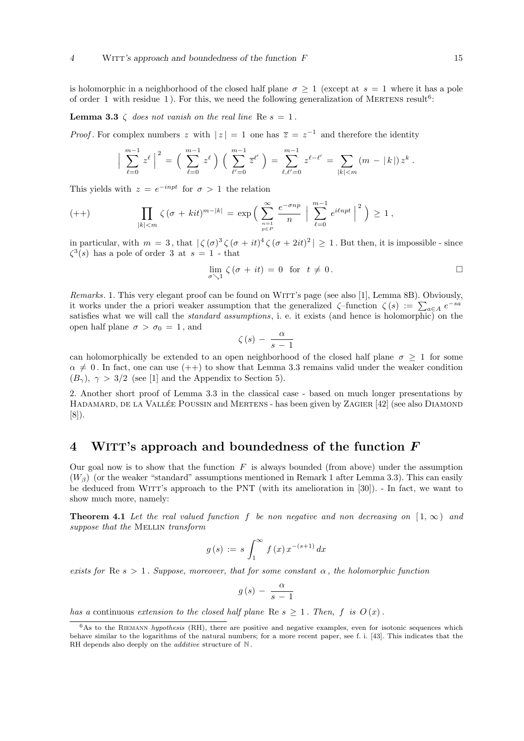is holomorphic in a neighborhood of the closed half plane  $\sigma \geq 1$  (except at  $s = 1$  where it has a pole of order 1 with residue 1). For this, we need the following generalization of MERTENS result<sup>6</sup>:

**Lemma 3.3**  $\zeta$  does not vanish on the real line Re  $s = 1$ .

*Proof*. For complex numbers z with  $|z| = 1$  one has  $\overline{z} = z^{-1}$  and therefore the identity

$$
\Big|\sum_{\ell=0}^{m-1} z^{\ell}\Big|^2 = \Big(\sum_{\ell=0}^{m-1} z^{\ell}\Big) \Big(\sum_{\ell'=0}^{m-1} \overline{z}^{\ell'}\Big) = \sum_{\ell,\ell'=0}^{m-1} z^{\ell-\ell'} = \sum_{|k|< m} (m - |k|) z^k.
$$

This yields with  $z = e^{-inpt}$  for  $\sigma > 1$  the relation

$$
(++) \qquad \prod_{|k| < m} \zeta(\sigma + kit)^{m-|k|} = \exp\Big(\sum_{\substack{n=1 \ p \in P}}^{\infty} \frac{e^{-\sigma np}}{n} \Big| \sum_{\ell=0}^{m-1} e^{i\ell npt} \Big|^2\Big) \ge 1\,,
$$

in particular, with  $m = 3$ , that  $|\zeta(\sigma)^3 \zeta(\sigma + it)^4 \zeta(\sigma + 2it)^2| \ge 1$ . But then, it is impossible - since  $\zeta^3(s)$  has a pole of order 3 at  $s=1$  - that

$$
\lim_{\sigma \searrow 1} \zeta(\sigma + it) = 0 \text{ for } t \neq 0.
$$

Remarks. 1. This very elegant proof can be found on WITT's page (see also [1], Lemma 8B). Obviously, *nemarks*. I. This very elegant proof can be found on WITT's page (see also [1], Lemma SD). Obviously it works under the a priori weaker assumption that the generalized  $\zeta$ -function  $\zeta(s) := \sum_{a \in A} e^{-sa}$ satisfies what we will call the standard assumptions, i. e. it exists (and hence is holomorphic) on the open half plane  $\sigma > \sigma_0 = 1$ , and

$$
\zeta\left(s\right) \, - \, \frac{\alpha}{s-1}
$$

can holomorphically be extended to an open neighborhood of the closed half plane  $\sigma \geq 1$  for some  $\alpha \neq 0$ . In fact, one can use  $(++)$  to show that Lemma 3.3 remains valid under the weaker condition  $(B_{\gamma})$ ,  $\gamma > 3/2$  (see [1] and the Appendix to Section 5).

2. Another short proof of Lemma 3.3 in the classical case - based on much longer presentations by HADAMARD, DE LA VALLÉE POUSSIN and MERTENS - has been given by ZAGIER [42] (see also DIAMOND [8]).

### 4 WITT's approach and boundedness of the function  $F$

Our goal now is to show that the function  $F$  is always bounded (from above) under the assumption  $(W<sub>β</sub>)$  (or the weaker "standard" assumptions mentioned in Remark 1 after Lemma 3.3). This can easily be deduced from WITT's approach to the PNT (with its amelioration in [30]). - In fact, we want to show much more, namely:

**Theorem 4.1** Let the real valued function f be non negative and non decreasing on  $[1, \infty)$  and suppose that the MELLIN transform

$$
g(s) := s \int_{1}^{\infty} f(x) x^{-(s+1)} dx
$$

exists for Re  $s > 1$ . Suppose, moreover, that for some constant  $\alpha$ , the holomorphic function

$$
g(s) - \frac{\alpha}{s-1}
$$

has a continuous extension to the closed half plane Re  $s \geq 1$ . Then, f is  $O(x)$ .

 $6$ As to the RIEMANN *hypothesis* (RH), there are positive and negative examples, even for isotonic sequences which behave similar to the logarithms of the natural numbers; for a more recent paper, see f. i. [43]. This indicates that the RH depends also deeply on the *additive* structure of  $N$ .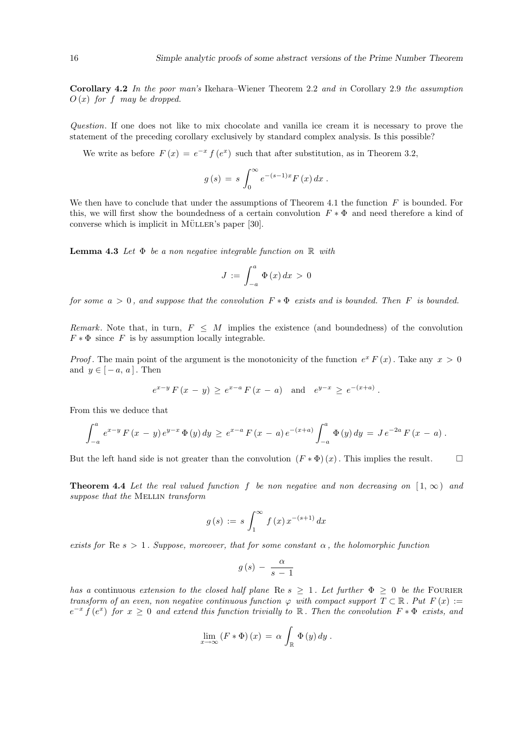Corollary 4.2 In the poor man's Ikehara–Wiener Theorem 2.2 and in Corollary 2.9 the assumption  $O(x)$  for f may be dropped.

Question. If one does not like to mix chocolate and vanilla ice cream it is necessary to prove the statement of the preceding corollary exclusively by standard complex analysis. Is this possible?

We write as before  $F(x) = e^{-x} f(e^x)$  such that after substitution, as in Theorem 3.2,

$$
g(s) = s \int_0^\infty e^{-(s-1)x} F(x) dx.
$$

We then have to conclude that under the assumptions of Theorem 4.1 the function  $F$  is bounded. For this, we will first show the boundedness of a certain convolution  $F * \Phi$  and need therefore a kind of converse which is implicit in MÜLLER's paper  $[30]$ .

**Lemma 4.3** Let  $\Phi$  be a non negative integrable function on  $\mathbb{R}$  with

$$
J := \int_{-a}^{a} \Phi(x) dx > 0
$$

for some  $a > 0$ , and suppose that the convolution  $F * \Phi$  exists and is bounded. Then F is bounded.

Remark. Note that, in turn,  $F \leq M$  implies the existence (and boundedness) of the convolution  $F * \Phi$  since F is by assumption locally integrable.

*Proof*. The main point of the argument is the monotonicity of the function  $e^x F(x)$ . Take any  $x > 0$ and  $y \in [-a, a]$ . Then

$$
e^{x-y} F(x - y) \ge e^{x-a} F(x - a)
$$
 and  $e^{y-x} \ge e^{-(x+a)}$ .

From this we deduce that

$$
\int_{-a}^{a} e^{x-y} F(x-y) e^{y-x} \Phi(y) dy \ge e^{x-a} F(x-a) e^{-(x+a)} \int_{-a}^{a} \Phi(y) dy = J e^{-2a} F(x-a).
$$

But the left hand side is not greater than the convolution  $(F * \Phi)(x)$ . This implies the result.  $\Box$ 

**Theorem 4.4** Let the real valued function f be non negative and non decreasing on  $[1,\infty)$  and suppose that the MELLIN transform

$$
g(s) := s \int_1^{\infty} f(x) x^{-(s+1)} dx
$$

exists for Re  $s > 1$ . Suppose, moreover, that for some constant  $\alpha$ , the holomorphic function

$$
g(s) - \frac{\alpha}{s-1}
$$

has a continuous extension to the closed half plane Re  $s \geq 1$ . Let further  $\Phi \geq 0$  be the FOURIER transform of an even, non negative continuous function  $\varphi$  with compact support  $T \subset \mathbb{R}$ . Put  $F(x) :=$  $e^{-x} f(e^x)$  for  $x \geq 0$  and extend this function trivially to R. Then the convolution  $F * \Phi$  exists, and

$$
\lim_{x \to \infty} (F * \Phi)(x) = \alpha \int_{\mathbb{R}} \Phi(y) dy.
$$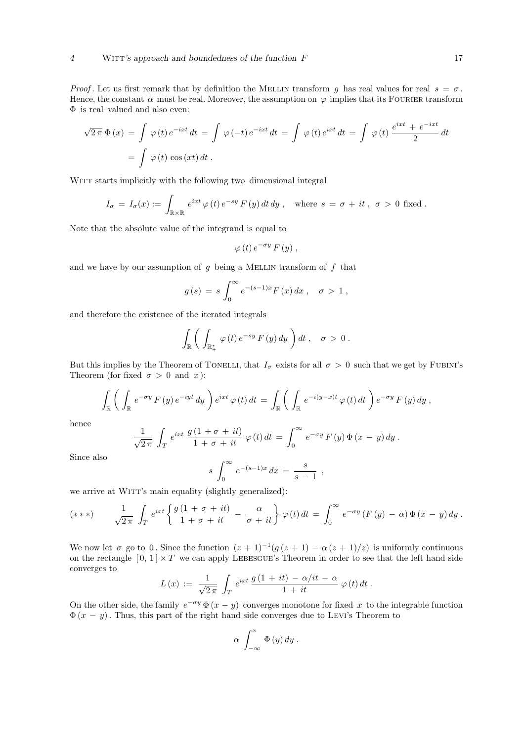Proof. Let us first remark that by definition the MELLIN transform g has real values for real  $s = \sigma$ . Hence, the constant  $\alpha$  must be real. Moreover, the assumption on  $\varphi$  implies that its FOURIER transform  $\Phi$  is real–valued and also even:

$$
\sqrt{2\pi} \Phi(x) = \int \varphi(t) e^{-ixt} dt = \int \varphi(-t) e^{-ixt} dt = \int \varphi(t) e^{ixt} dt = \int \varphi(t) \frac{e^{ixt} + e^{-ixt}}{2} dt
$$
  
= 
$$
\int \varphi(t) \cos(xt) dt.
$$

WITT starts implicitly with the following two–dimensional integral

$$
I_{\sigma} = I_{\sigma}(x) := \int_{\mathbb{R} \times \mathbb{R}} e^{ixt} \varphi(t) e^{-sy} F(y) dt dy , \text{ where } s = \sigma + it, \sigma > 0 \text{ fixed} .
$$

Note that the absolute value of the integrand is equal to

$$
\varphi(t) e^{-\sigma y} F(y) ,
$$

and we have by our assumption of  $g$  being a MELLIN transform of  $f$  that

$$
g(s) = s \int_0^\infty e^{-(s-1)x} F(x) dx , \quad \sigma > 1 ,
$$

and therefore the existence of the iterated integrals

$$
\int_{\mathbb{R}} \bigg( \int_{\mathbb{R}^*_+} \varphi(t) \, e^{-sy} \, F\left(y\right) dy \bigg) dt \, , \quad \sigma > 0 \, .
$$

But this implies by the Theorem of TONELLI, that  $I_{\sigma}$  exists for all  $\sigma > 0$  such that we get by FUBINI's Theorem (for fixed  $\sigma > 0$  and x):

$$
\int_{\mathbb{R}} \bigg( \int_{\mathbb{R}} e^{-\sigma y} F(y) e^{-iyt} dy \bigg) e^{ixt} \varphi(t) dt = \int_{\mathbb{R}} \bigg( \int_{\mathbb{R}} e^{-i(y-x)t} \varphi(t) dt \bigg) e^{-\sigma y} F(y) dy,
$$

hence

$$
\frac{1}{\sqrt{2\pi}}\int_T e^{ixt}\frac{g(1+\sigma+it)}{1+\sigma+it}\,\varphi(t)\,dt = \int_0^\infty e^{-\sigma y}\,F(y)\,\Phi(x-y)\,dy\,.
$$

Since also

$$
s \int_0^\infty e^{-(s-1)x} \, dx = \frac{s}{s-1} \ ,
$$

we arrive at WITT's main equality (slightly generalized):

$$
(***) \qquad \frac{1}{\sqrt{2\pi}}\int_T e^{ixt}\left\{\frac{g(1+\sigma+it)}{1+\sigma+it}-\frac{\alpha}{\sigma+it}\right\}\varphi(t)dt=\int_0^\infty e^{-\sigma y}\left(F(y)-\alpha\right)\Phi\left(x-y\right)dy.
$$

We now let  $\sigma$  go to 0. Since the function  $(z + 1)^{-1}(g(z + 1) - \alpha(z + 1)/z)$  is uniformly continuous on the rectangle  $[0, 1] \times T$  we can apply LEBESGUE's Theorem in order to see that the left hand side converges to

$$
L(x) := \frac{1}{\sqrt{2\pi}} \int_T e^{ixt} \frac{g(1+it) - \alpha/it - \alpha}{1+it} \varphi(t) dt.
$$

On the other side, the family  $e^{-\sigma y} \Phi(x - y)$  converges monotone for fixed x to the integrable function  $\Phi(x - y)$ . Thus, this part of the right hand side converges due to LEVI's Theorem to

$$
\alpha \int_{-\infty}^{x} \Phi(y) dy.
$$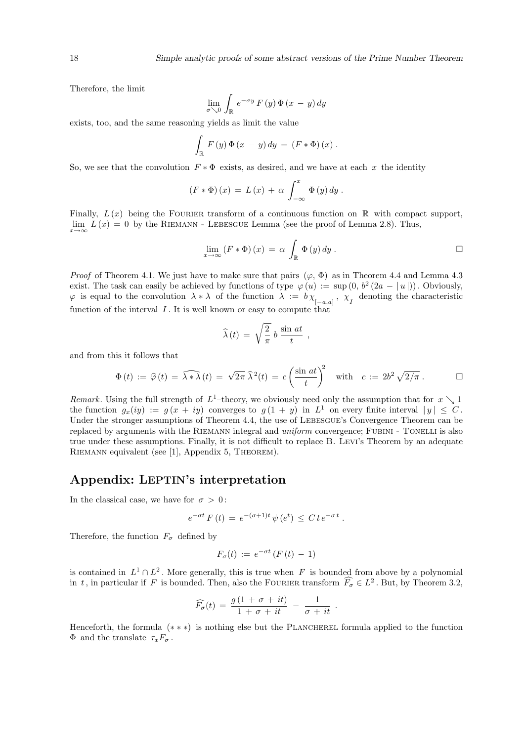Therefore, the limit

$$
\lim_{\sigma \searrow 0} \int_{\mathbb{R}} e^{-\sigma y} F(y) \, \Phi(x - y) \, dy
$$

exists, too, and the same reasoning yields as limit the value

$$
\int_{\mathbb{R}} F(y) \Phi(x - y) dy = (F * \Phi)(x).
$$

So, we see that the convolution  $F * \Phi$  exists, as desired, and we have at each x the identity

$$
(F * \Phi)(x) = L(x) + \alpha \int_{-\infty}^{x} \Phi(y) dy.
$$

Finally,  $L(x)$  being the FOURIER transform of a continuous function on R with compact support,  $\lim_{x\to\infty} L(x) = 0$  by the RIEMANN - LEBESGUE Lemma (see the proof of Lemma 2.8). Thus,

$$
\lim_{x \to \infty} (F * \Phi)(x) = \alpha \int_{\mathbb{R}} \Phi(y) dy.
$$

*Proof* of Theorem 4.1. We just have to make sure that pairs  $(\varphi, \Phi)$  as in Theorem 4.4 and Lemma 4.3 exist. The task can easily be achieved by functions of type  $\varphi(u) := \sup(0, b^2(2a - |u|))$ . Obviously,  $\varphi$  is equal to the convolution  $\lambda * \lambda$  of the function  $\lambda := b \chi_{[-a,a]}, \chi_{I}$  denoting the characteristic function of the interval  $I$ . It is well known or easy to compute that

$$
\widehat{\lambda}(t) = \sqrt{\frac{2}{\pi}} b \frac{\sin at}{t},
$$

and from this it follows that

$$
\Phi(t) := \widehat{\varphi}(t) = \widehat{\lambda * \lambda}(t) = \sqrt{2\pi} \widehat{\lambda}^2(t) = c \left(\frac{\sin at}{t}\right)^2 \quad \text{with} \quad c := 2b^2 \sqrt{2/\pi} \, . \qquad \Box
$$

Remark. Using the full strength of  $L^1$ -theory, we obviously need only the assumption that for  $x \searrow 1$ the function  $g_x(iy) := g(x + iy)$  converges to  $g(1 + y)$  in  $L^1$  on every finite interval  $|y| \leq C$ . Under the stronger assumptions of Theorem 4.4, the use of LEBESGUE's Convergence Theorem can be replaced by arguments with the RIEMANN integral and *uniform* convergence; FUBINI - TONELLI is also true under these assumptions. Finally, it is not difficult to replace B. Levi's Theorem by an adequate Riemann equivalent (see [1], Appendix 5, Theorem).

### Appendix: LEPTIN's interpretation

In the classical case, we have for  $\sigma > 0$ :

$$
e^{-\sigma t} F(t) = e^{-(\sigma+1)t} \psi(e^t) \leq C t e^{-\sigma t} .
$$

Therefore, the function  $F_{\sigma}$  defined by

$$
F_{\sigma}(t) := e^{-\sigma t} \left( F(t) - 1 \right)
$$

is contained in  $L^1 \cap L^2$ . More generally, this is true when F is bounded from above by a polynomial in t, in particular if F is bounded. Then, also the FOURIER transform  $\widehat{F}_{\sigma} \in L^2$ . But, by Theorem 3.2,

$$
\widehat{F_{\sigma}}(t) = \frac{g(1 + \sigma + it)}{1 + \sigma + it} - \frac{1}{\sigma + it}.
$$

Henceforth, the formula  $(**)$  is nothing else but the PLANCHEREL formula applied to the function  $\Phi$  and the translate  $\tau_x F_{\sigma}$ .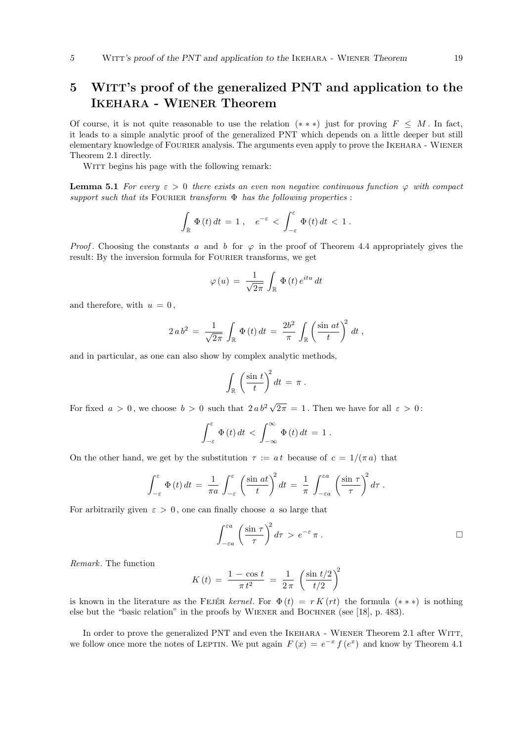### 5 WITT's proof of the generalized PNT and application to the IKEHARA - WIENER Theorem

Of course, it is not quite reasonable to use the relation  $(**)$  just for proving  $F \leq M$ . In fact, it leads to a simple analytic proof of the generalized PNT which depends on a little deeper but still elementary knowledge of Fourier analysis. The arguments even apply to prove the Ikehara - Wiener Theorem 2.1 directly.

WITT begins his page with the following remark:

**Lemma 5.1** For every  $\varepsilon > 0$  there exists an even non negative continuous function  $\varphi$  with compact support such that its FOURIER transform  $\Phi$  has the following properties :

$$
\int_{\mathbb{R}} \Phi(t) dt = 1 , \quad e^{-\varepsilon} < \int_{-\varepsilon}^{\varepsilon} \Phi(t) dt < 1 .
$$

*Proof.* Choosing the constants a and b for  $\varphi$  in the proof of Theorem 4.4 appropriately gives the result: By the inversion formula for FOURIER transforms, we get

$$
\varphi\left(u\right) \,=\, \frac{1}{\sqrt{2\pi}}\,\int_{\mathbb{R}}\,\Phi\left(t\right)e^{itu}\,dt
$$

and therefore, with  $u = 0$ ,

$$
2 a b^{2} = \frac{1}{\sqrt{2\pi}} \int_{\mathbb{R}} \Phi(t) dt = \frac{2b^{2}}{\pi} \int_{\mathbb{R}} \left(\frac{\sin at}{t}\right)^{2} dt,
$$

and in particular, as one can also show by complex analytic methods,

$$
\int_{\mathbb{R}} \left( \frac{\sin t}{t} \right)^2 dt = \pi .
$$

For fixed  $a > 0$ , we choose  $b > 0$  such that  $2ab^2 \sqrt{ }$  $2\pi = 1$ . Then we have for all  $\varepsilon > 0$ :

$$
\int_{-\varepsilon}^{\varepsilon} \Phi(t) dt < \int_{-\infty}^{\infty} \Phi(t) dt = 1.
$$

On the other hand, we get by the substitution  $\tau := a t$  because of  $c = 1/(\pi a)$  that

$$
\int_{-\varepsilon}^{\varepsilon} \Phi(t) dt = \frac{1}{\pi a} \int_{-\varepsilon}^{\varepsilon} \left( \frac{\sin at}{t} \right)^2 dt = \frac{1}{\pi} \int_{-\varepsilon a}^{\varepsilon a} \left( \frac{\sin \tau}{\tau} \right)^2 d\tau.
$$

For arbitrarily given  $\varepsilon > 0$ , one can finally choose a so large that

$$
\int_{-\varepsilon a}^{\varepsilon a} \left( \frac{\sin \tau}{\tau} \right)^2 d\tau > e^{-\varepsilon} \pi . \qquad \qquad \Box
$$

Remark. The function

$$
K(t) = \frac{1 - \cos t}{\pi t^2} = \frac{1}{2\pi} \left( \frac{\sin t/2}{t/2} \right)^2
$$

is known in the literature as the FEJER kernel. For  $\Phi(t) = r K (rt)$  the formula  $(* * *)$  is nothing else but the "basic relation" in the proofs by Wiener and Bochner (see [18], p. 483).

In order to prove the generalized PNT and even the IKEHARA - WIENER Theorem 2.1 after WITT, we follow once more the notes of LEPTIN. We put again  $F(x) = e^{-x} f(e^x)$  and know by Theorem 4.1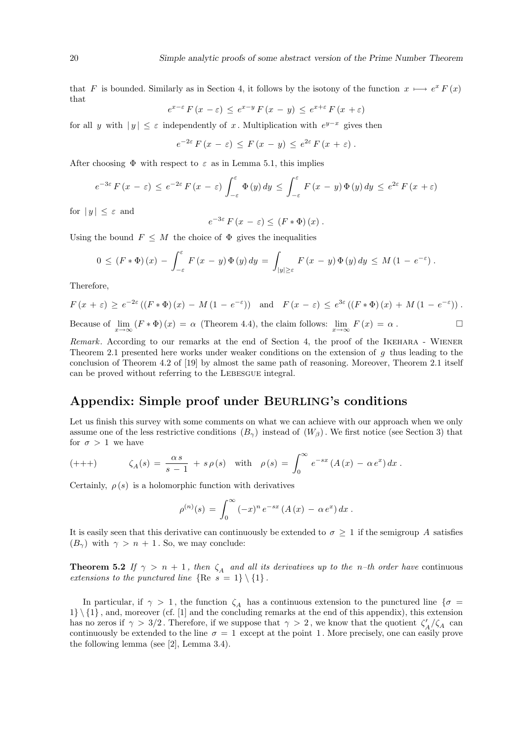that F is bounded. Similarly as in Section 4, it follows by the isotony of the function  $x \mapsto e^x F(x)$ that

$$
e^{x-\varepsilon} F(x-\varepsilon) \le e^{x-y} F(x-y) \le e^{x+\varepsilon} F(x+\varepsilon)
$$

for all y with  $|y| \leq \varepsilon$  independently of x. Multiplication with  $e^{y-x}$  gives then

$$
e^{-2\varepsilon} F(x-\varepsilon) \leq F(x-y) \leq e^{2\varepsilon} F(x+\varepsilon).
$$

After choosing  $\Phi$  with respect to  $\varepsilon$  as in Lemma 5.1, this implies

$$
e^{-3\varepsilon} F(x-\varepsilon) \le e^{-2\varepsilon} F(x-\varepsilon) \int_{-\varepsilon}^{\varepsilon} \Phi(y) dy \le \int_{-\varepsilon}^{\varepsilon} F(x-y) \Phi(y) dy \le e^{2\varepsilon} F(x+\varepsilon)
$$

for  $|y| \leq \varepsilon$  and

$$
e^{-3\varepsilon} F(x-\varepsilon) \le (F * \Phi)(x) .
$$

Using the bound  $F \leq M$  the choice of  $\Phi$  gives the inequalities

$$
0 \le (F * \Phi)(x) - \int_{-\varepsilon}^{\varepsilon} F(x - y) \Phi(y) dy = \int_{|y| \ge \varepsilon} F(x - y) \Phi(y) dy \le M (1 - e^{-\varepsilon}).
$$

Therefore,

$$
F(x+\varepsilon) \ge e^{-2\varepsilon} \left( \left( F * \Phi \right)(x) - M(1 - e^{-\varepsilon}) \right) \text{ and } F(x-\varepsilon) \le e^{3\varepsilon} \left( \left( F * \Phi \right)(x) + M(1 - e^{-\varepsilon}) \right).
$$
  
Because of  $\lim_{x \to \infty} \left( F * \Phi \right)(x) = \alpha$  (Theorem 4.4), the claim follows:  $\lim_{x \to \infty} F(x) = \alpha$ .

Remark. According to our remarks at the end of Section 4, the proof of the IKEHARA - WIENER Theorem 2.1 presented here works under weaker conditions on the extension of  $q$  thus leading to the conclusion of Theorem 4.2 of [19] by almost the same path of reasoning. Moreover, Theorem 2.1 itself can be proved without referring to the Lebesgue integral.

### Appendix: Simple proof under BEURLING's conditions

Let us finish this survey with some comments on what we can achieve with our approach when we only assume one of the less restrictive conditions  $(B_{\gamma})$  instead of  $(W_{\beta})$ . We first notice (see Section 3) that for  $\sigma > 1$  we have

(+++) 
$$
\zeta_A(s) = \frac{\alpha s}{s-1} + s \rho(s)
$$
 with  $\rho(s) = \int_0^\infty e^{-sx} (A(x) - \alpha e^x) dx$ .

Certainly,  $\rho(s)$  is a holomorphic function with derivatives

$$
\rho^{(n)}(s) = \int_0^\infty (-x)^n e^{-sx} (A(x) - \alpha e^x) dx.
$$

It is easily seen that this derivative can continuously be extended to  $\sigma \geq 1$  if the semigroup A satisfies  $(B_{\gamma})$  with  $\gamma > n + 1$ . So, we may conclude:

**Theorem 5.2** If  $\gamma > n + 1$ , then  $\zeta_A$  and all its derivatives up to the n-th order have continuous extensions to the punctured line  ${Re s = 1} \ \{1\}$ .

In particular, if  $\gamma > 1$ , the function  $\zeta_A$  has a continuous extension to the punctured line  $\{\sigma =$  $1\setminus\{1\}$ , and, moreover (cf. [1] and the concluding remarks at the end of this appendix), this extension has no zeros if  $\gamma > 3/2$ . Therefore, if we suppose that  $\gamma > 2$ , we know that the quotient  $\zeta'_A/\zeta_A$  can continuously be extended to the line  $\sigma = 1$  except at the point 1. More precisely, one can easily prove the following lemma (see [2], Lemma 3.4).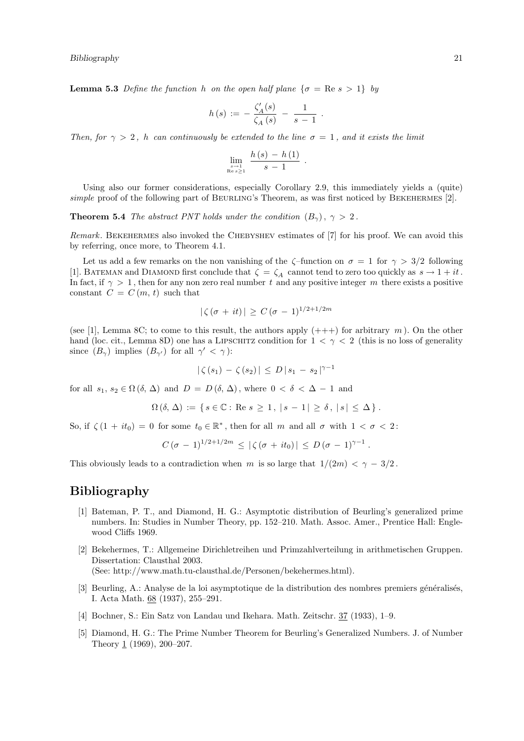**Lemma 5.3** Define the function h on the open half plane  $\{\sigma = \text{Re } s > 1\}$  by

$$
h(s) := -\frac{\zeta_A'(s)}{\zeta_A(s)} - \frac{1}{s-1}.
$$

Then, for  $\gamma > 2$ , h can continuously be extended to the line  $\sigma = 1$ , and it exists the limit

$$
\lim_{\substack{s\to 1\\Re\,s\geq 1}}\frac{h\left(s\right)-h\left(1\right)}{s-1}
$$

.

Using also our former considerations, especially Corollary 2.9, this immediately yields a (quite) simple proof of the following part of BEURLING's Theorem, as was first noticed by BEKEHERMES [2].

**Theorem 5.4** The abstract PNT holds under the condition  $(B_{\gamma})$ ,  $\gamma > 2$ .

Remark. BEKEHERMES also invoked the CHEBYSHEV estimates of [7] for his proof. We can avoid this by referring, once more, to Theorem 4.1.

Let us add a few remarks on the non vanishing of the  $\zeta$ -function on  $\sigma = 1$  for  $\gamma > 3/2$  following [1]. BATEMAN and DIAMOND first conclude that  $\zeta = \zeta_A$  cannot tend to zero too quickly as  $s \to 1 + it$ . In fact, if  $\gamma > 1$ , then for any non zero real number t and any positive integer m there exists a positive constant  $C = C(m, t)$  such that

$$
|\zeta(\sigma + it)| \ge C(\sigma - 1)^{1/2 + 1/2m}
$$

(see [1], Lemma 8C; to come to this result, the authors apply  $(++)$  for arbitrary m). On the other hand (loc. cit., Lemma 8D) one has a LIPSCHITZ condition for  $1 < \gamma < 2$  (this is no loss of generality since  $(B_{\gamma})$  implies  $(B_{\gamma'})$  for all  $\gamma' < \gamma$ ):

$$
|\zeta(s_1) - \zeta(s_2)| \le D |s_1 - s_2|^{\gamma - 1}
$$

for all  $s_1, s_2 \in \Omega(\delta, \Delta)$  and  $D = D(\delta, \Delta)$ , where  $0 < \delta < \Delta - 1$  and

$$
\Omega\left(\delta,\Delta\right) := \left\{ s \in \mathbb{C} : \text{Re } s \geq 1, \, |s - 1| \geq \delta, \, |s| \leq \Delta \right\}.
$$

So, if  $\zeta(1 + it_0) = 0$  for some  $t_0 \in \mathbb{R}^*$ , then for all m and all  $\sigma$  with  $1 < \sigma < 2$ :

$$
C(\sigma - 1)^{1/2 + 1/2m} \le |\zeta(\sigma + it_0)| \le D(\sigma - 1)^{\gamma - 1}
$$
.

This obviously leads to a contradiction when m is so large that  $1/(2m) < \gamma - 3/2$ .

### Bibliography

- [1] Bateman, P. T., and Diamond, H. G.: Asymptotic distribution of Beurling's generalized prime numbers. In: Studies in Number Theory, pp. 152–210. Math. Assoc. Amer., Prentice Hall: Englewood Cliffs 1969.
- [2] Bekehermes, T.: Allgemeine Dirichletreihen und Primzahlverteilung in arithmetischen Gruppen. Dissertation: Clausthal 2003. (See: http://www.math.tu-clausthal.de/Personen/bekehermes.html).
- [3] Beurling, A.: Analyse de la loi asymptotique de la distribution des nombres premiers généralisés, I. Acta Math. 68 (1937), 255–291.
- [4] Bochner, S.: Ein Satz von Landau und Ikehara. Math. Zeitschr. 37 (1933), 1–9.
- [5] Diamond, H. G.: The Prime Number Theorem for Beurling's Generalized Numbers. J. of Number Theory 1 (1969), 200–207.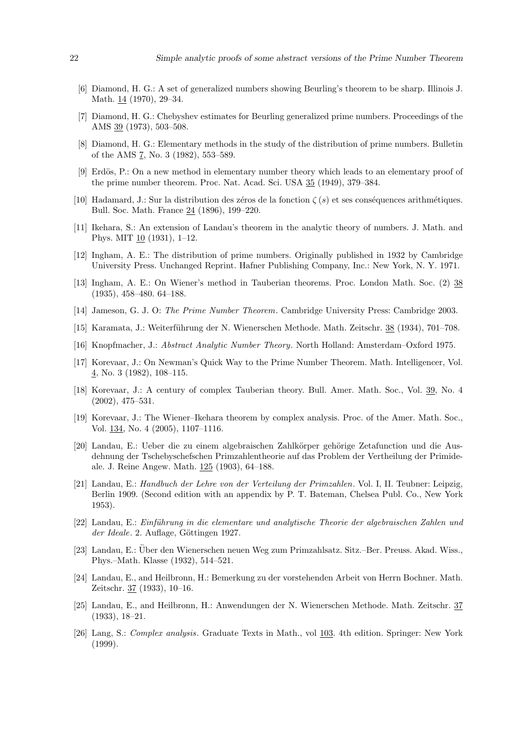- [6] Diamond, H. G.: A set of generalized numbers showing Beurling's theorem to be sharp. Illinois J. Math. 14 (1970), 29–34.
- [7] Diamond, H. G.: Chebyshev estimates for Beurling generalized prime numbers. Proceedings of the AMS 39 (1973), 503–508.
- [8] Diamond, H. G.: Elementary methods in the study of the distribution of prime numbers. Bulletin of the AMS 7, No. 3 (1982), 553–589.
- [9] Erdös, P.: On a new method in elementary number theory which leads to an elementary proof of the prime number theorem. Proc. Nat. Acad. Sci. USA 35 (1949), 379–384.
- [10] Hadamard, J.: Sur la distribution des zéros de la fonction  $\zeta(s)$  et ses conséquences arithmétiques. Bull. Soc. Math. France 24 (1896), 199–220.
- [11] Ikehara, S.: An extension of Landau's theorem in the analytic theory of numbers. J. Math. and Phys. MIT  $10$  (1931), 1–12.
- [12] Ingham, A. E.: The distribution of prime numbers. Originally published in 1932 by Cambridge University Press. Unchanged Reprint. Hafner Publishing Company, Inc.: New York, N. Y. 1971.
- [13] Ingham, A. E.: On Wiener's method in Tauberian theorems. Proc. London Math. Soc. (2) 38 (1935), 458–480. 64–188.
- [14] Jameson, G. J. O: The Prime Number Theorem. Cambridge University Press: Cambridge 2003.
- [15] Karamata, J.: Weiterführung der N. Wienerschen Methode. Math. Zeitschr. 38 (1934), 701–708.
- [16] Knopfmacher, J.: Abstract Analytic Number Theory. North Holland: Amsterdam–Oxford 1975.
- [17] Korevaar, J.: On Newman's Quick Way to the Prime Number Theorem. Math. Intelligencer, Vol. 4, No. 3 (1982), 108–115.
- [18] Korevaar, J.: A century of complex Tauberian theory. Bull. Amer. Math. Soc., Vol. 39, No. 4 (2002), 475–531.
- [19] Korevaar, J.: The Wiener–Ikehara theorem by complex analysis. Proc. of the Amer. Math. Soc., Vol. 134, No. 4 (2005), 1107–1116.
- [20] Landau, E.: Ueber die zu einem algebraischen Zahlkörper gehörige Zetafunction und die Ausdehnung der Tschebyschefschen Primzahlentheorie auf das Problem der Vertheilung der Primideale. J. Reine Angew. Math. 125 (1903), 64–188.
- [21] Landau, E.: Handbuch der Lehre von der Verteilung der Primzahlen. Vol. I, II. Teubner: Leipzig, Berlin 1909. (Second edition with an appendix by P. T. Bateman, Chelsea Publ. Co., New York 1953).
- [22] Landau, E.: Einführung in die elementare und analytische Theorie der algebraischen Zahlen und der Ideale. 2. Auflage, Göttingen 1927.
- [23] Landau, E.: Uber den Wienerschen neuen Weg zum Primzahlsatz. Sitz.–Ber. Preuss. Akad. Wiss., ¨ Phys.–Math. Klasse (1932), 514–521.
- [24] Landau, E., and Heilbronn, H.: Bemerkung zu der vorstehenden Arbeit von Herrn Bochner. Math. Zeitschr. 37 (1933), 10–16.
- [25] Landau, E., and Heilbronn, H.: Anwendungen der N. Wienerschen Methode. Math. Zeitschr. 37 (1933), 18–21.
- [26] Lang, S.: Complex analysis. Graduate Texts in Math., vol 103. 4th edition. Springer: New York (1999).